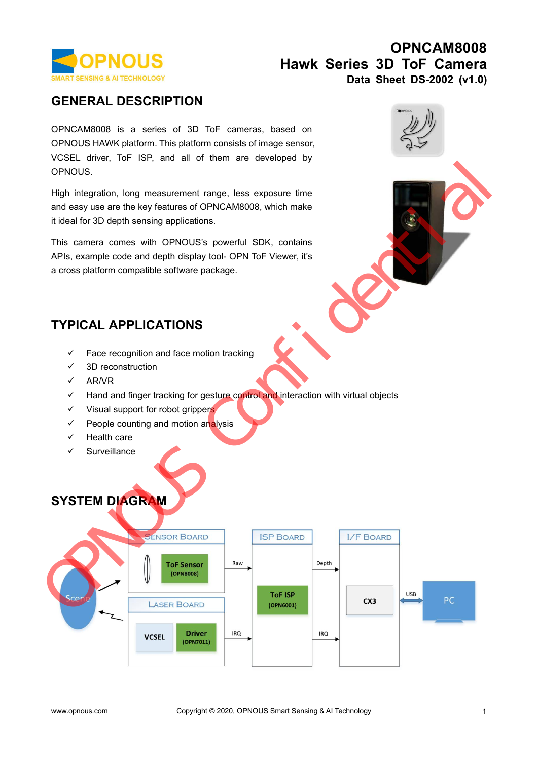

**GENERAL DESCRIPTION**<br> **GENERAL DESCRIPTION**<br> **GENERAL DESCRIPTION**<br> **GENERAL DESCRIPTION**<br>
OPNOUS HAWK platform. This platform consists of image sensor,<br>
VCSEL driver, ToF ISP, and all of them are developed by<br>
OPNOUS **OPNOUS**<br> **EXERVISHERAL DESCRIPTION**<br>
OPNOWS ANTECHNOLOGY<br>
ORDER CENERAL DESCRIPTION<br>
OPNOUS HAWK platform. This platform consists of image sensor,<br>
VCSEL driver, ToF ISP, and all of them are developed by<br>
OPNOUS. **OPNOUS**<br>
MART SENSING & AITECHNOLOGY<br>
ORD Data Sheet D:<br>
GENERAL DESCRIPTION<br>
OPNOUS HAWK platform. This platform consists of image sensor,<br>
VCSEL driver, ToF ISP, and all of them are developed by<br>
OPNOUS. **COPNOUS**<br> **VCCEL ANT SENSING & AI TECHNOLOGY**<br> **VCENERAL DESCRIPTION**<br>
OPNOUS HAWK platform. This platform consists of image sensor,<br>
VCSEL driver, ToF ISP, and all of them are developed by<br>
OPNOUS.<br>
High integration, lon OPNOUS. Hawk Series 3D ToF<br>
Data Sheet DS-<br>
Data Sheet DS-<br>
OPNCAM8008 is a series of 3D ToF cameras, based on<br>
OPNOUS HAWK platform. This platform consists of image sensor,<br>
VCSEL driver, ToF ISP, and all of them are developed by **BENERAL DESCRIPTION**<br> **CENERAL DESCRIPTION**<br>
OPNCAM8008 is a series of 3D ToF cameras, based on<br>
OPNOUS HAWK platform. This platform consists of image sensor,<br>
VCSEL driver, ToF ISP, and all of them are developed by<br>
OPNO **GENERAL DESCRIPTION**<br>
OPNCAM8008 is a series of 3D ToF cameras, based<br>
OPNOUS HAWK platform. This platform consists of image sen<br>
VCSEL driver, ToF ISP, and all of them are developed<br>
OPNOUS.<br>
High integration, long measu OPNCAM8008 is a series of 3D ToF cameras, based on<br>
OPNOUS HAWK platform. This platform consists of image sensor,<br>
VCSEL driver, ToF ISP, and all of them are developed by<br>
OPNOUS.<br>
High integration, long measurement range, OPNCAM8008 is a series of 3D ToF cameras, based on<br>
OPNOUS HAWK platform. This platform consists of image sensor,<br>
VCSEL driver, ToF ISP, and all of them are developed by<br>
OPNOUS.<br>
High integration, long measurement range, OPNOUS HAWK platform. This platform consists of image sensor,<br>VCSEL driver, ToF ISP, and all of them are developed by<br>OPNOUS.<br>High integration, long measurement range, less exposure time<br>and easy use are the key features o

OPNOUS HAWK platform. This platform consists of image sensor,<br>VCSEL driver, ToF ISP, and all of them are developed by<br>OPNOUS.<br>High integration, long measurement range, less exposure time<br>and easy use are the key features

Face recognition and face motion tracking<br>
Face recognition and face motion tracking<br>
FACAL APPLICATIONS<br>
Face recognition and face motion tracking<br>
FACAL APPLICATIONS<br>
Face recognition and face motion tracking<br>
ARMR<br>
Face 99 camera comes with OPNOUS's powerful<br>
3, example code and depth display tool- OPN<br>
5<br>
5 paraform compatible software package.<br>
5 paraform compatible software package.<br>
5 PICAL APPLICATIONS<br>
5 Face recognition and face m

# **PICAL APPLICATIONS**<br>  $\checkmark$  Face recognition and face motion trackin<br>  $\checkmark$  3D reconstruction<br>  $\checkmark$  AR/VR<br>  $\checkmark$  Hand and finger tracking for gesture con<br>  $\checkmark$  Visual support for robot grippers<br>  $\checkmark$  People counting an

- 
- 
- $\times$  AR/VR
- Solventier and the software package.<br>
And and finger tracking<br>
ARVIR Construction<br>
ARVIR Construction<br>
ARVIR Control and finger tracking for gesture control and interaction with virtual objects<br>
ARVIR Constanting and moti PICAL APPLICATIONS<br>  $\checkmark$  Face recognition and face motion tracking<br>  $\checkmark$  3D reconstruction<br>  $\checkmark$  AR/VR<br>  $\checkmark$  Hand and finger tracking for gesture control and interactio<br>  $\checkmark$  Visual support for robot grippers<br>  $\checkmark$  PICAL APPLICATIONS<br>
Y Face recognition and face motion tracking<br>
Y 3D reconstruction<br>
Y AR/VR<br>
Y Hand and finger tracking for gesture control and interaction wit<br>
Y Visual support for robot grippers<br>
Y People counting and
- 
- 
- 
- Surveillance

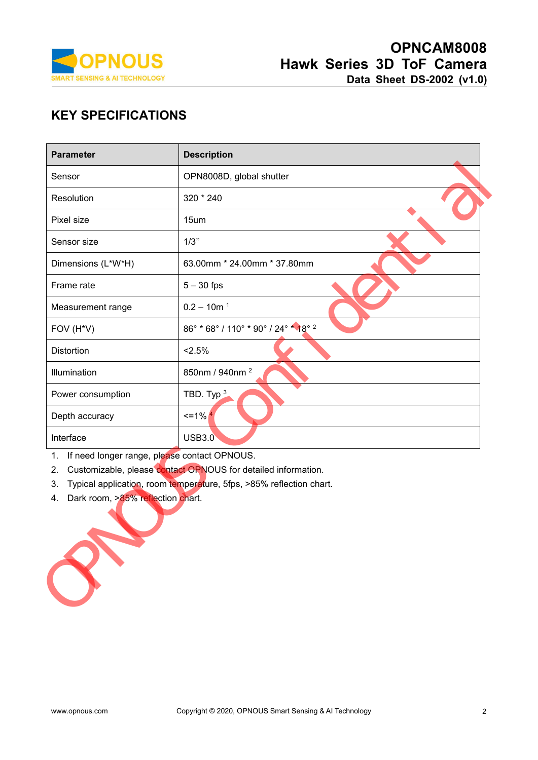

| <b>PNOUS</b><br><b>TECHNOLOGY</b>                         | OPNCAM8008<br><b>Hawk Series 3D ToF Camera</b><br>Data Sheet DS-2002 (v1.0)                                                                                                          |
|-----------------------------------------------------------|--------------------------------------------------------------------------------------------------------------------------------------------------------------------------------------|
| <b>KEY SPECIFICATIONS</b><br><b>Parameter</b>             | <b>Description</b>                                                                                                                                                                   |
| Sensor                                                    | OPN8008D, global shutter                                                                                                                                                             |
| Resolution                                                | 320 * 240                                                                                                                                                                            |
| Pixel size                                                | 15um                                                                                                                                                                                 |
| Sensor size                                               | 1/3"                                                                                                                                                                                 |
| Dimensions (L*W*H)                                        | 63.00mm * 24.00mm * 37.80mm                                                                                                                                                          |
| Frame rate                                                | $5 - 30$ fps                                                                                                                                                                         |
| Measurement range                                         | $0.2 - 10m$ <sup>1</sup>                                                                                                                                                             |
| FOV (H*V)                                                 | 86° * 68° / 110° * 90° / 24° * 18° <sup>2</sup>                                                                                                                                      |
| <b>Distortion</b>                                         | < 2.5%                                                                                                                                                                               |
| Illumination                                              | 850nm / 940nm <sup>2</sup>                                                                                                                                                           |
| Power consumption                                         | TBD. Typ $3$                                                                                                                                                                         |
| Depth accuracy                                            | $\leq$ = 1%                                                                                                                                                                          |
| Interface                                                 | <b>USB3.0</b>                                                                                                                                                                        |
| 1.<br>2.<br>3.<br>Dark room, >85% reflection chart.<br>4. | If need longer range, please contact OPNOUS.<br>Customizable, please contact OPNOUS for detailed information.<br>Typical application, room temperature, 5fps, >85% reflection chart. |

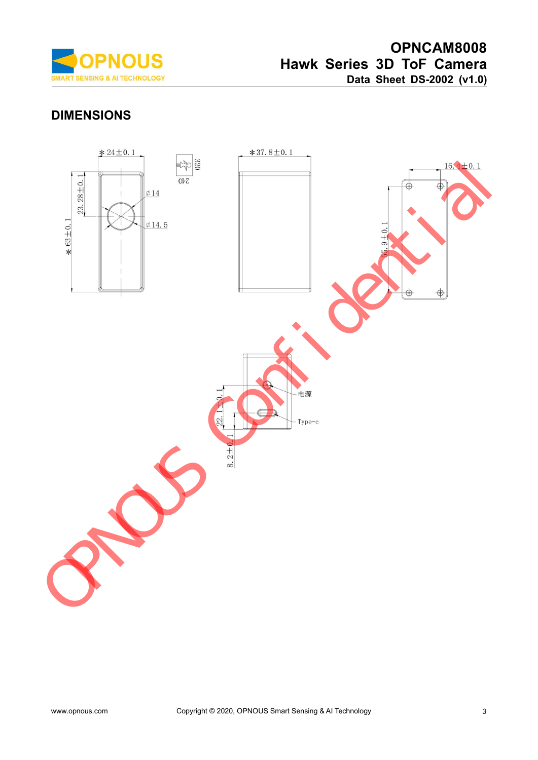

# **DIMENSIONS**

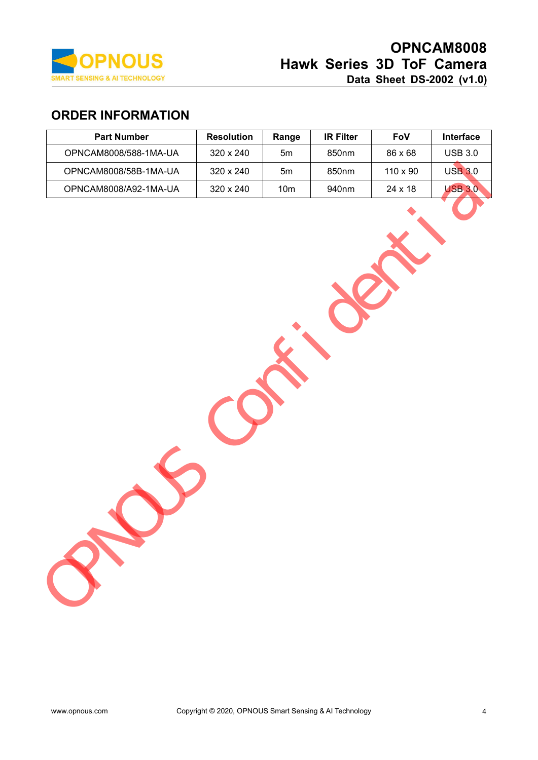

# **OPNCAM8008**<br>Hawk Series 3D ToF Camera **COPNCAM8008**<br> **Hawk Series 3D ToF Camera**<br>
Data Sheet DS-2002 (v1.0)<br>
ange R Filter Fov Interface **DRICAM8008**<br> **Data Sheet DS-2002 (v1.0)**<br> **Data Sheet DS-2002 (v1.0)**<br> **Example 18 Fove Sheet Access**

| <b>ORDER INFORMATION</b>                                                    |                |
|-----------------------------------------------------------------------------|----------------|
| <b>Part Number</b><br><b>Resolution</b><br><b>IR Filter</b><br>FoV<br>Range | Interface      |
| OPNCAM8008/588-1MA-UA<br>320 x 240<br>850nm<br>86 x 68<br>5m                | <b>USB 3.0</b> |
| 850nm<br>110 x 90<br>OPNCAM8008/58B-1MA-UA<br>320 x 240<br>5m               | <b>USB 3.0</b> |
| 24 x 18<br>OPNCAM8008/A92-1MA-UA<br>320 x 240<br>940nm<br>10 <sub>m</sub>   | <b>USB 3.0</b> |
|                                                                             |                |
|                                                                             |                |
|                                                                             |                |
|                                                                             |                |
|                                                                             |                |
|                                                                             |                |
|                                                                             |                |